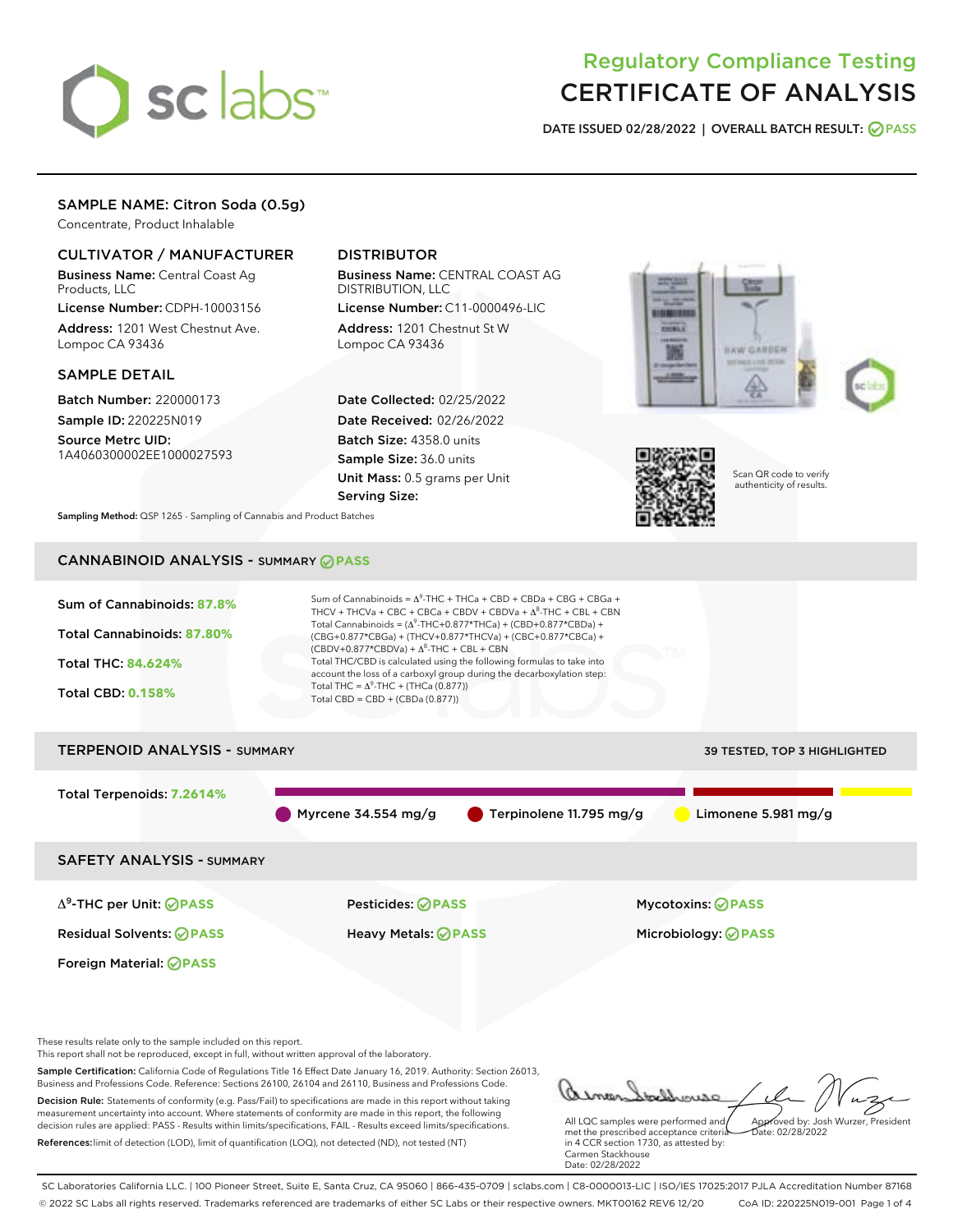# sclabs<sup>\*</sup>

# Regulatory Compliance Testing CERTIFICATE OF ANALYSIS

DATE ISSUED 02/28/2022 | OVERALL BATCH RESULT: @ PASS

# SAMPLE NAME: Citron Soda (0.5g)

Concentrate, Product Inhalable

### CULTIVATOR / MANUFACTURER

Business Name: Central Coast Ag Products, LLC

License Number: CDPH-10003156 Address: 1201 West Chestnut Ave. Lompoc CA 93436

#### SAMPLE DETAIL

Batch Number: 220000173 Sample ID: 220225N019

Source Metrc UID: 1A4060300002EE1000027593

# DISTRIBUTOR

Business Name: CENTRAL COAST AG DISTRIBUTION, LLC

License Number: C11-0000496-LIC Address: 1201 Chestnut St W Lompoc CA 93436

Date Collected: 02/25/2022 Date Received: 02/26/2022 Batch Size: 4358.0 units Sample Size: 36.0 units Unit Mass: 0.5 grams per Unit Serving Size:







Scan QR code to verify authenticity of results.

Sampling Method: QSP 1265 - Sampling of Cannabis and Product Batches

# CANNABINOID ANALYSIS - SUMMARY **PASS**



References:limit of detection (LOD), limit of quantification (LOQ), not detected (ND), not tested (NT)

in 4 CCR section 1730, as attested by: Carmen Stackhouse Date: 02/28/2022

SC Laboratories California LLC. | 100 Pioneer Street, Suite E, Santa Cruz, CA 95060 | 866-435-0709 | sclabs.com | C8-0000013-LIC | ISO/IES 17025:2017 PJLA Accreditation Number 87168 © 2022 SC Labs all rights reserved. Trademarks referenced are trademarks of either SC Labs or their respective owners. MKT00162 REV6 12/20 CoA ID: 220225N019-001 Page 1 of 4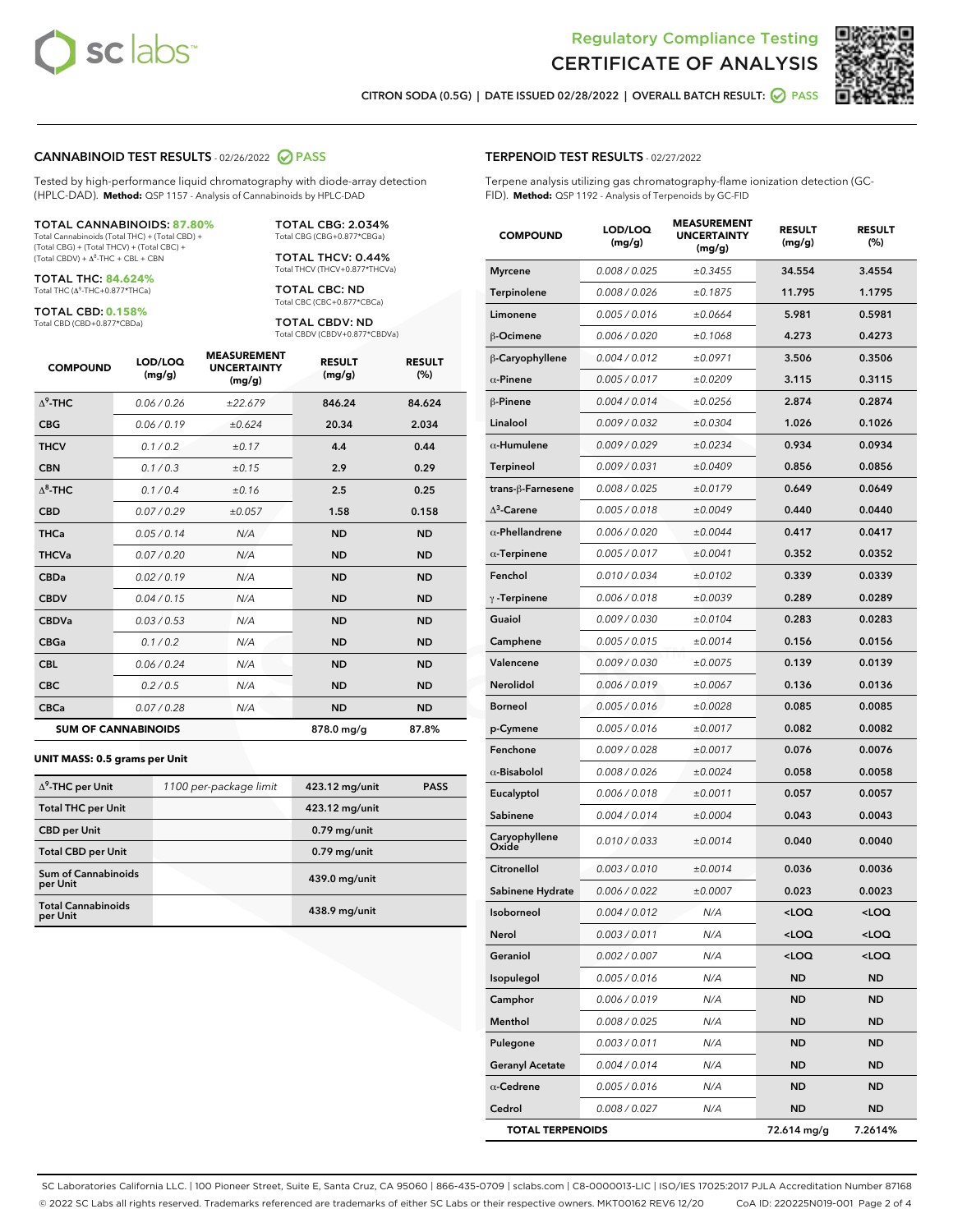



CITRON SODA (0.5G) | DATE ISSUED 02/28/2022 | OVERALL BATCH RESULT: @ PASS

#### CANNABINOID TEST RESULTS - 02/26/2022 PASS

Tested by high-performance liquid chromatography with diode-array detection (HPLC-DAD). **Method:** QSP 1157 - Analysis of Cannabinoids by HPLC-DAD

#### TOTAL CANNABINOIDS: **87.80%**

Total Cannabinoids (Total THC) + (Total CBD) + (Total CBG) + (Total THCV) + (Total CBC) +  $(Total$  CBDV) +  $\Delta$ <sup>8</sup>-THC + CBL + CBN

TOTAL THC: **84.624%** Total THC (Δ<sup>9</sup> -THC+0.877\*THCa)

TOTAL CBD: **0.158%**

Total CBD (CBD+0.877\*CBDa)

TOTAL CBG: 2.034% Total CBG (CBG+0.877\*CBGa)

TOTAL THCV: 0.44% Total THCV (THCV+0.877\*THCVa)

TOTAL CBC: ND Total CBC (CBC+0.877\*CBCa)

TOTAL CBDV: ND Total CBDV (CBDV+0.877\*CBDVa)

| <b>COMPOUND</b>  | LOD/LOQ<br>(mg/g)          | <b>MEASUREMENT</b><br><b>UNCERTAINTY</b><br>(mg/g) | <b>RESULT</b><br>(mg/g) | <b>RESULT</b><br>(%) |
|------------------|----------------------------|----------------------------------------------------|-------------------------|----------------------|
| $\Lambda^9$ -THC | 0.06 / 0.26                | ±22.679                                            | 846.24                  | 84.624               |
| <b>CBG</b>       | 0.06/0.19                  | ±0.624                                             | 20.34                   | 2.034                |
| <b>THCV</b>      | 0.1/0.2                    | ±0.17                                              | 4.4                     | 0.44                 |
| <b>CBN</b>       | 0.1/0.3                    | ±0.15                                              | 2.9                     | 0.29                 |
| $\Delta^8$ -THC  | 0.1 / 0.4                  | ±0.16                                              | 2.5                     | 0.25                 |
| <b>CBD</b>       | 0.07/0.29                  | ±0.057                                             | 1.58                    | 0.158                |
| <b>THCa</b>      | 0.05/0.14                  | N/A                                                | <b>ND</b>               | <b>ND</b>            |
| <b>THCVa</b>     | 0.07 / 0.20                | N/A                                                | <b>ND</b>               | <b>ND</b>            |
| <b>CBDa</b>      | 0.02/0.19                  | N/A                                                | <b>ND</b>               | <b>ND</b>            |
| <b>CBDV</b>      | 0.04 / 0.15                | N/A                                                | <b>ND</b>               | <b>ND</b>            |
| <b>CBDVa</b>     | 0.03/0.53                  | N/A                                                | <b>ND</b>               | <b>ND</b>            |
| <b>CBGa</b>      | 0.1 / 0.2                  | N/A                                                | <b>ND</b>               | <b>ND</b>            |
| <b>CBL</b>       | 0.06 / 0.24                | N/A                                                | <b>ND</b>               | <b>ND</b>            |
| <b>CBC</b>       | 0.2 / 0.5                  | N/A                                                | <b>ND</b>               | <b>ND</b>            |
| <b>CBCa</b>      | 0.07/0.28                  | N/A                                                | <b>ND</b>               | <b>ND</b>            |
|                  | <b>SUM OF CANNABINOIDS</b> |                                                    | 878.0 mg/g              | 87.8%                |

#### **UNIT MASS: 0.5 grams per Unit**

| $\Delta^9$ -THC per Unit               | 1100 per-package limit | 423.12 mg/unit | <b>PASS</b> |
|----------------------------------------|------------------------|----------------|-------------|
| <b>Total THC per Unit</b>              |                        | 423.12 mg/unit |             |
| <b>CBD</b> per Unit                    |                        | $0.79$ mg/unit |             |
| <b>Total CBD per Unit</b>              |                        | $0.79$ mg/unit |             |
| <b>Sum of Cannabinoids</b><br>per Unit |                        | 439.0 mg/unit  |             |
| <b>Total Cannabinoids</b><br>per Unit  |                        | 438.9 mg/unit  |             |

| <b>COMPOUND</b>         | LOD/LOQ<br>(mg/g) | <b>MEASUREMENT</b><br><b>UNCERTAINTY</b><br>(mg/g) | <b>RESULT</b><br>(mg/g)                          | <b>RESULT</b><br>(%) |
|-------------------------|-------------------|----------------------------------------------------|--------------------------------------------------|----------------------|
| <b>Myrcene</b>          | 0.008 / 0.025     | ±0.3455                                            | 34.554                                           | 3.4554               |
| Terpinolene             | 0.008 / 0.026     | ±0.1875                                            | 11.795                                           | 1.1795               |
| Limonene                | 0.005 / 0.016     | ±0.0664                                            | 5.981                                            | 0.5981               |
| β-Ocimene               | 0.006 / 0.020     | ±0.1068                                            | 4.273                                            | 0.4273               |
| β-Caryophyllene         | 0.004 / 0.012     | ±0.0971                                            | 3.506                                            | 0.3506               |
| $\alpha$ -Pinene        | 0.005 / 0.017     | ±0.0209                                            | 3.115                                            | 0.3115               |
| β-Pinene                | 0.004 / 0.014     | ±0.0256                                            | 2.874                                            | 0.2874               |
| Linalool                | 0.009 / 0.032     | ±0.0304                                            | 1.026                                            | 0.1026               |
| $\alpha$ -Humulene      | 0.009 / 0.029     | ±0.0234                                            | 0.934                                            | 0.0934               |
| <b>Terpineol</b>        | 0.009 / 0.031     | ±0.0409                                            | 0.856                                            | 0.0856               |
| trans-ß-Farnesene       | 0.008 / 0.025     | ±0.0179                                            | 0.649                                            | 0.0649               |
| $\Delta^3$ -Carene      | 0.005 / 0.018     | ±0.0049                                            | 0.440                                            | 0.0440               |
| $\alpha$ -Phellandrene  | 0.006 / 0.020     | ±0.0044                                            | 0.417                                            | 0.0417               |
| $\alpha$ -Terpinene     | 0.005 / 0.017     | ±0.0041                                            | 0.352                                            | 0.0352               |
| Fenchol                 | 0.010 / 0.034     | ±0.0102                                            | 0.339                                            | 0.0339               |
| $\gamma$ -Terpinene     | 0.006 / 0.018     | ±0.0039                                            | 0.289                                            | 0.0289               |
| Guaiol                  | 0.009 / 0.030     | ±0.0104                                            | 0.283                                            | 0.0283               |
| Camphene                | 0.005 / 0.015     | ±0.0014                                            | 0.156                                            | 0.0156               |
| Valencene               | 0.009 / 0.030     | ±0.0075                                            | 0.139                                            | 0.0139               |
| Nerolidol               | 0.006 / 0.019     | ±0.0067                                            | 0.136                                            | 0.0136               |
| <b>Borneol</b>          | 0.005 / 0.016     | ±0.0028                                            | 0.085                                            | 0.0085               |
| p-Cymene                | 0.005 / 0.016     | ±0.0017                                            | 0.082                                            | 0.0082               |
| Fenchone                | 0.009 / 0.028     | ±0.0017                                            | 0.076                                            | 0.0076               |
| $\alpha$ -Bisabolol     | 0.008 / 0.026     | ±0.0024                                            | 0.058                                            | 0.0058               |
| Eucalyptol              | 0.006 / 0.018     | ±0.0011                                            | 0.057                                            | 0.0057               |
| Sabinene                | 0.004 / 0.014     | ±0.0004                                            | 0.043                                            | 0.0043               |
| Caryophyllene<br>Oxide  | 0.010 / 0.033     | ±0.0014                                            | 0.040                                            | 0.0040               |
| <b>Citronellol</b>      | 0.003 / 0.010     | ±0.0014                                            | 0.036                                            | 0.0036               |
| Sabinene Hydrate        | 0.006 / 0.022     | ±0.0007                                            | 0.023                                            | 0.0023               |
| Isoborneol              | 0.004 / 0.012     | N/A                                                | <loq< th=""><th><math>&lt;</math>LOQ</th></loq<> | $<$ LOQ              |
| Nerol                   | 0.003 / 0.011     | N/A                                                | <loq< th=""><th><loq< th=""></loq<></th></loq<>  | <loq< th=""></loq<>  |
| Geraniol                | 0.002 / 0.007     | N/A                                                | <loq< th=""><th><loq< th=""></loq<></th></loq<>  | <loq< th=""></loq<>  |
| Isopulegol              | 0.005 / 0.016     | N/A                                                | ND                                               | ND                   |
| Camphor                 | 0.006 / 0.019     | N/A                                                | ND                                               | <b>ND</b>            |
| Menthol                 | 0.008 / 0.025     | N/A                                                | ND                                               | ND                   |
| Pulegone                | 0.003 / 0.011     | N/A                                                | ND                                               | ND                   |
| <b>Geranyl Acetate</b>  | 0.004 / 0.014     | N/A                                                | <b>ND</b>                                        | ND                   |
| $\alpha$ -Cedrene       | 0.005 / 0.016     | N/A                                                | ND                                               | ND                   |
| Cedrol                  | 0.008 / 0.027     | N/A                                                | <b>ND</b>                                        | ND                   |
| <b>TOTAL TERPENOIDS</b> |                   |                                                    | 72.614 mg/g                                      | 7.2614%              |

SC Laboratories California LLC. | 100 Pioneer Street, Suite E, Santa Cruz, CA 95060 | 866-435-0709 | sclabs.com | C8-0000013-LIC | ISO/IES 17025:2017 PJLA Accreditation Number 87168 © 2022 SC Labs all rights reserved. Trademarks referenced are trademarks of either SC Labs or their respective owners. MKT00162 REV6 12/20 CoA ID: 220225N019-001 Page 2 of 4

## TERPENOID TEST RESULTS - 02/27/2022

Terpene analysis utilizing gas chromatography-flame ionization detection (GC-FID). **Method:** QSP 1192 - Analysis of Terpenoids by GC-FID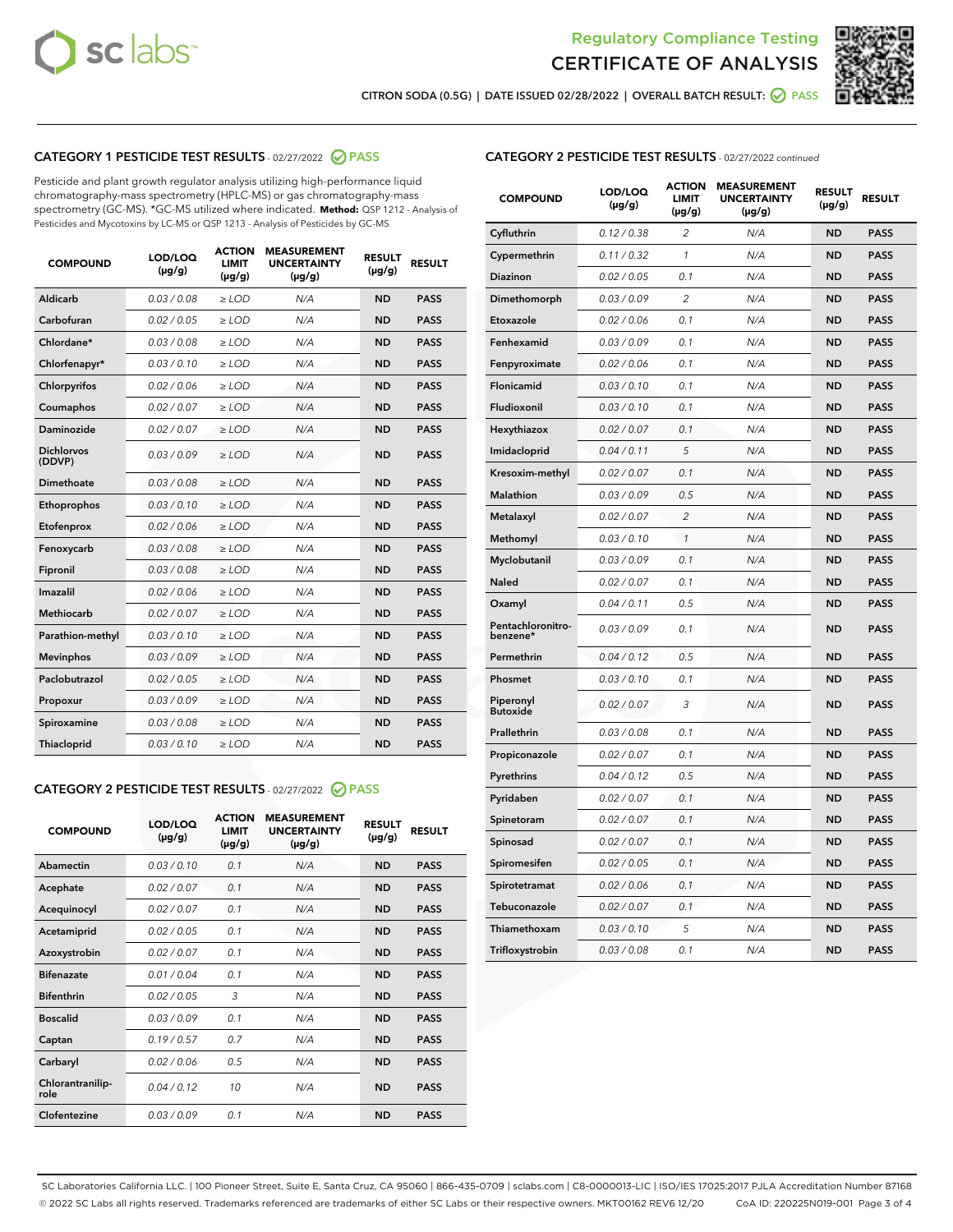



CITRON SODA (0.5G) | DATE ISSUED 02/28/2022 | OVERALL BATCH RESULT: @ PASS

# CATEGORY 1 PESTICIDE TEST RESULTS - 02/27/2022 2 PASS

Pesticide and plant growth regulator analysis utilizing high-performance liquid chromatography-mass spectrometry (HPLC-MS) or gas chromatography-mass spectrometry (GC-MS). \*GC-MS utilized where indicated. **Method:** QSP 1212 - Analysis of Pesticides and Mycotoxins by LC-MS or QSP 1213 - Analysis of Pesticides by GC-MS

| <b>COMPOUND</b>             | LOD/LOQ<br>$(\mu g/g)$ | <b>ACTION</b><br><b>LIMIT</b><br>$(\mu g/g)$ | <b>MEASUREMENT</b><br><b>UNCERTAINTY</b><br>$(\mu g/g)$ | <b>RESULT</b><br>$(\mu g/g)$ | <b>RESULT</b> |
|-----------------------------|------------------------|----------------------------------------------|---------------------------------------------------------|------------------------------|---------------|
| <b>Aldicarb</b>             | 0.03 / 0.08            | $\ge$ LOD                                    | N/A                                                     | <b>ND</b>                    | <b>PASS</b>   |
| Carbofuran                  | 0.02 / 0.05            | $\ge$ LOD                                    | N/A                                                     | <b>ND</b>                    | <b>PASS</b>   |
| Chlordane*                  | 0.03 / 0.08            | $\ge$ LOD                                    | N/A                                                     | <b>ND</b>                    | <b>PASS</b>   |
| Chlorfenapyr*               | 0.03 / 0.10            | $\ge$ LOD                                    | N/A                                                     | <b>ND</b>                    | <b>PASS</b>   |
| Chlorpyrifos                | 0.02 / 0.06            | $\ge$ LOD                                    | N/A                                                     | <b>ND</b>                    | <b>PASS</b>   |
| Coumaphos                   | 0.02 / 0.07            | $\ge$ LOD                                    | N/A                                                     | <b>ND</b>                    | <b>PASS</b>   |
| <b>Daminozide</b>           | 0.02 / 0.07            | $\ge$ LOD                                    | N/A                                                     | <b>ND</b>                    | <b>PASS</b>   |
| <b>Dichlorvos</b><br>(DDVP) | 0.03/0.09              | $\ge$ LOD                                    | N/A                                                     | <b>ND</b>                    | <b>PASS</b>   |
| Dimethoate                  | 0.03/0.08              | $>$ LOD                                      | N/A                                                     | <b>ND</b>                    | <b>PASS</b>   |
| Ethoprophos                 | 0.03/0.10              | $\ge$ LOD                                    | N/A                                                     | <b>ND</b>                    | <b>PASS</b>   |
| Etofenprox                  | 0.02 / 0.06            | $\ge$ LOD                                    | N/A                                                     | <b>ND</b>                    | <b>PASS</b>   |
| Fenoxycarb                  | 0.03 / 0.08            | $\ge$ LOD                                    | N/A                                                     | <b>ND</b>                    | <b>PASS</b>   |
| Fipronil                    | 0.03 / 0.08            | $\geq$ LOD                                   | N/A                                                     | <b>ND</b>                    | <b>PASS</b>   |
| Imazalil                    | 0.02 / 0.06            | $>$ LOD                                      | N/A                                                     | <b>ND</b>                    | <b>PASS</b>   |
| Methiocarb                  | 0.02 / 0.07            | $\ge$ LOD                                    | N/A                                                     | <b>ND</b>                    | <b>PASS</b>   |
| Parathion-methyl            | 0.03/0.10              | $\ge$ LOD                                    | N/A                                                     | <b>ND</b>                    | <b>PASS</b>   |
| <b>Mevinphos</b>            | 0.03/0.09              | $\ge$ LOD                                    | N/A                                                     | <b>ND</b>                    | <b>PASS</b>   |
| Paclobutrazol               | 0.02 / 0.05            | $\ge$ LOD                                    | N/A                                                     | <b>ND</b>                    | <b>PASS</b>   |
| Propoxur                    | 0.03/0.09              | $\ge$ LOD                                    | N/A                                                     | <b>ND</b>                    | <b>PASS</b>   |
| Spiroxamine                 | 0.03 / 0.08            | $\ge$ LOD                                    | N/A                                                     | <b>ND</b>                    | <b>PASS</b>   |
| <b>Thiacloprid</b>          | 0.03 / 0.10            | $\ge$ LOD                                    | N/A                                                     | <b>ND</b>                    | <b>PASS</b>   |

# CATEGORY 2 PESTICIDE TEST RESULTS - 02/27/2022 @ PASS

| <b>COMPOUND</b>          | LOD/LOO<br>$(\mu g/g)$ | <b>ACTION</b><br>LIMIT<br>$(\mu g/g)$ | <b>MEASUREMENT</b><br><b>UNCERTAINTY</b><br>$(\mu g/g)$ | <b>RESULT</b><br>$(\mu g/g)$ | <b>RESULT</b> |
|--------------------------|------------------------|---------------------------------------|---------------------------------------------------------|------------------------------|---------------|
| Abamectin                | 0.03/0.10              | 0.1                                   | N/A                                                     | <b>ND</b>                    | <b>PASS</b>   |
| Acephate                 | 0.02/0.07              | 0.1                                   | N/A                                                     | <b>ND</b>                    | <b>PASS</b>   |
| Acequinocyl              | 0.02/0.07              | 0.1                                   | N/A                                                     | <b>ND</b>                    | <b>PASS</b>   |
| Acetamiprid              | 0.02/0.05              | 0.1                                   | N/A                                                     | <b>ND</b>                    | <b>PASS</b>   |
| Azoxystrobin             | 0.02/0.07              | 0.1                                   | N/A                                                     | <b>ND</b>                    | <b>PASS</b>   |
| <b>Bifenazate</b>        | 0.01/0.04              | 0.1                                   | N/A                                                     | <b>ND</b>                    | <b>PASS</b>   |
| <b>Bifenthrin</b>        | 0.02 / 0.05            | 3                                     | N/A                                                     | <b>ND</b>                    | <b>PASS</b>   |
| <b>Boscalid</b>          | 0.03/0.09              | 0.1                                   | N/A                                                     | <b>ND</b>                    | <b>PASS</b>   |
| Captan                   | 0.19/0.57              | 0.7                                   | N/A                                                     | <b>ND</b>                    | <b>PASS</b>   |
| Carbaryl                 | 0.02/0.06              | 0.5                                   | N/A                                                     | <b>ND</b>                    | <b>PASS</b>   |
| Chlorantranilip-<br>role | 0.04 / 0.12            | 10                                    | N/A                                                     | <b>ND</b>                    | <b>PASS</b>   |
| Clofentezine             | 0.03/0.09              | 0.1                                   | N/A                                                     | <b>ND</b>                    | <b>PASS</b>   |

# CATEGORY 2 PESTICIDE TEST RESULTS - 02/27/2022 continued

| <b>COMPOUND</b>               | LOD/LOQ<br>(µg/g) | <b>ACTION</b><br>LIMIT<br>$(\mu g/g)$ | <b>MEASUREMENT</b><br><b>UNCERTAINTY</b><br>$(\mu g/g)$ | <b>RESULT</b><br>(µg/g) | <b>RESULT</b> |
|-------------------------------|-------------------|---------------------------------------|---------------------------------------------------------|-------------------------|---------------|
| Cyfluthrin                    | 0.12 / 0.38       | $\overline{c}$                        | N/A                                                     | <b>ND</b>               | <b>PASS</b>   |
| Cypermethrin                  | 0.11 / 0.32       | 1                                     | N/A                                                     | <b>ND</b>               | <b>PASS</b>   |
| <b>Diazinon</b>               | 0.02 / 0.05       | 0.1                                   | N/A                                                     | <b>ND</b>               | <b>PASS</b>   |
| Dimethomorph                  | 0.03 / 0.09       | $\overline{2}$                        | N/A                                                     | <b>ND</b>               | <b>PASS</b>   |
| Etoxazole                     | 0.02 / 0.06       | 0.1                                   | N/A                                                     | <b>ND</b>               | <b>PASS</b>   |
| Fenhexamid                    | 0.03 / 0.09       | 0.1                                   | N/A                                                     | <b>ND</b>               | <b>PASS</b>   |
| Fenpyroximate                 | 0.02 / 0.06       | 0.1                                   | N/A                                                     | <b>ND</b>               | <b>PASS</b>   |
| <b>Flonicamid</b>             | 0.03 / 0.10       | 0.1                                   | N/A                                                     | <b>ND</b>               | <b>PASS</b>   |
| Fludioxonil                   | 0.03 / 0.10       | 0.1                                   | N/A                                                     | <b>ND</b>               | <b>PASS</b>   |
| Hexythiazox                   | 0.02 / 0.07       | 0.1                                   | N/A                                                     | <b>ND</b>               | <b>PASS</b>   |
| Imidacloprid                  | 0.04 / 0.11       | 5                                     | N/A                                                     | <b>ND</b>               | <b>PASS</b>   |
| Kresoxim-methyl               | 0.02 / 0.07       | 0.1                                   | N/A                                                     | <b>ND</b>               | <b>PASS</b>   |
| Malathion                     | 0.03 / 0.09       | 0.5                                   | N/A                                                     | <b>ND</b>               | <b>PASS</b>   |
| Metalaxyl                     | 0.02 / 0.07       | $\overline{c}$                        | N/A                                                     | <b>ND</b>               | <b>PASS</b>   |
| Methomyl                      | 0.03 / 0.10       | $\mathcal{I}$                         | N/A                                                     | <b>ND</b>               | <b>PASS</b>   |
| Myclobutanil                  | 0.03 / 0.09       | 0.1                                   | N/A                                                     | <b>ND</b>               | <b>PASS</b>   |
| Naled                         | 0.02 / 0.07       | 0.1                                   | N/A                                                     | <b>ND</b>               | <b>PASS</b>   |
| Oxamyl                        | 0.04 / 0.11       | 0.5                                   | N/A                                                     | <b>ND</b>               | <b>PASS</b>   |
| Pentachloronitro-<br>benzene* | 0.03 / 0.09       | 0.1                                   | N/A                                                     | <b>ND</b>               | <b>PASS</b>   |
| Permethrin                    | 0.04 / 0.12       | 0.5                                   | N/A                                                     | <b>ND</b>               | <b>PASS</b>   |
| Phosmet                       | 0.03 / 0.10       | 0.1                                   | N/A                                                     | <b>ND</b>               | <b>PASS</b>   |
| Piperonyl<br><b>Butoxide</b>  | 0.02 / 0.07       | 3                                     | N/A                                                     | <b>ND</b>               | <b>PASS</b>   |
| Prallethrin                   | 0.03 / 0.08       | 0.1                                   | N/A                                                     | <b>ND</b>               | <b>PASS</b>   |
| Propiconazole                 | 0.02 / 0.07       | 0.1                                   | N/A                                                     | <b>ND</b>               | <b>PASS</b>   |
| Pyrethrins                    | 0.04 / 0.12       | 0.5                                   | N/A                                                     | <b>ND</b>               | <b>PASS</b>   |
| Pyridaben                     | 0.02 / 0.07       | 0.1                                   | N/A                                                     | <b>ND</b>               | <b>PASS</b>   |
| Spinetoram                    | 0.02 / 0.07       | 0.1                                   | N/A                                                     | ND                      | PASS          |
| Spinosad                      | 0.02 / 0.07       | 0.1                                   | N/A                                                     | <b>ND</b>               | <b>PASS</b>   |
| Spiromesifen                  | 0.02 / 0.05       | 0.1                                   | N/A                                                     | <b>ND</b>               | <b>PASS</b>   |
| Spirotetramat                 | 0.02 / 0.06       | 0.1                                   | N/A                                                     | <b>ND</b>               | <b>PASS</b>   |
| Tebuconazole                  | 0.02 / 0.07       | 0.1                                   | N/A                                                     | <b>ND</b>               | <b>PASS</b>   |
| Thiamethoxam                  | 0.03 / 0.10       | 5                                     | N/A                                                     | ND                      | <b>PASS</b>   |
| Trifloxystrobin               | 0.03 / 0.08       | 0.1                                   | N/A                                                     | ND                      | <b>PASS</b>   |

SC Laboratories California LLC. | 100 Pioneer Street, Suite E, Santa Cruz, CA 95060 | 866-435-0709 | sclabs.com | C8-0000013-LIC | ISO/IES 17025:2017 PJLA Accreditation Number 87168 © 2022 SC Labs all rights reserved. Trademarks referenced are trademarks of either SC Labs or their respective owners. MKT00162 REV6 12/20 CoA ID: 220225N019-001 Page 3 of 4